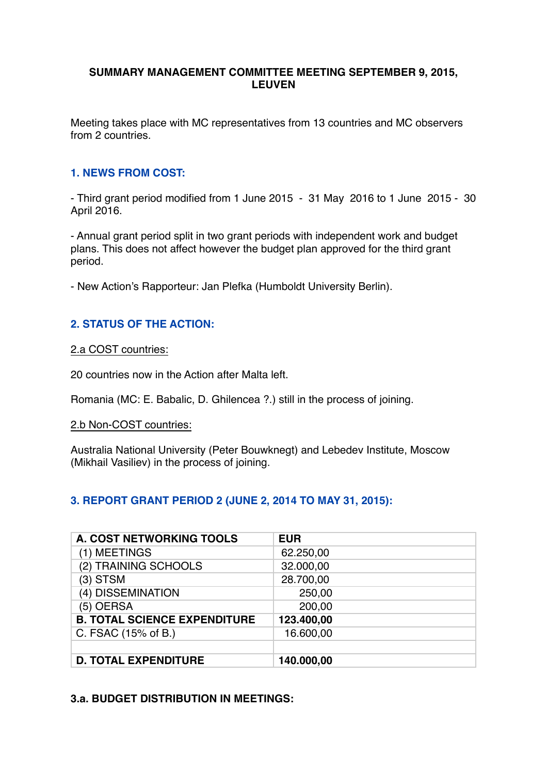## **SUMMARY MANAGEMENT COMMITTEE MEETING SEPTEMBER 9, 2015, LEUVEN**

Meeting takes place with MC representatives from 13 countries and MC observers from 2 countries.

## **1. NEWS FROM COST:**

- Third grant period modified from 1 June 2015 - 31 May 2016 to 1 June 2015 - 30 April 2016.

- Annual grant period split in two grant periods with independent work and budget plans. This does not affect however the budget plan approved for the third grant period.

- New Action's Rapporteur: Jan Plefka (Humboldt University Berlin).

## **2. STATUS OF THE ACTION:**

2.a COST countries:

20 countries now in the Action after Malta left.

Romania (MC: E. Babalic, D. Ghilencea ?.) still in the process of joining.

### 2.b Non-COST countries:

Australia National University (Peter Bouwknegt) and Lebedev Institute, Moscow (Mikhail Vasiliev) in the process of joining.

#### **3. REPORT GRANT PERIOD 2 (JUNE 2, 2014 TO MAY 31, 2015):**

| <b>A. COST NETWORKING TOOLS</b>     | <b>EUR</b> |
|-------------------------------------|------------|
| (1) MEETINGS                        | 62.250,00  |
| (2) TRAINING SCHOOLS                | 32.000,00  |
| $(3)$ STSM                          | 28.700,00  |
| (4) DISSEMINATION                   | 250,00     |
| (5) OERSA                           | 200,00     |
| <b>B. TOTAL SCIENCE EXPENDITURE</b> | 123.400,00 |
| C. FSAC (15% of B.)                 | 16.600,00  |
|                                     |            |
| <b>D. TOTAL EXPENDITURE</b>         | 140.000,00 |

### **3.a. BUDGET DISTRIBUTION IN MEETINGS:**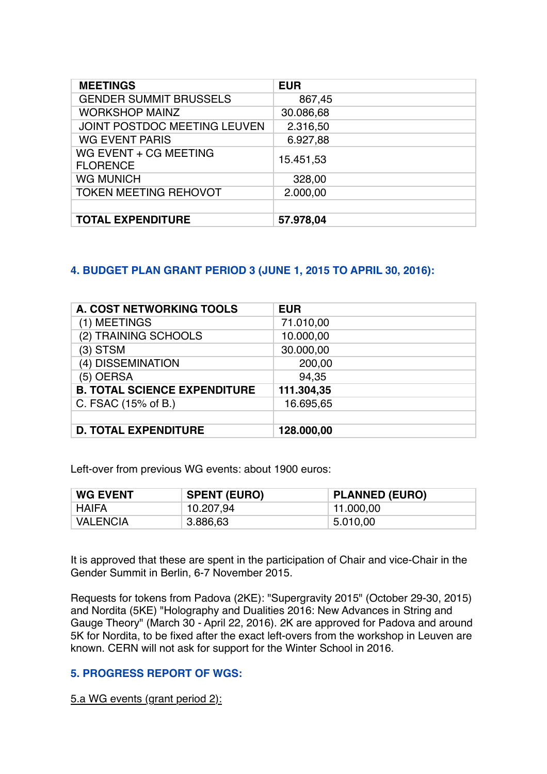| <b>MEETINGS</b>                          | <b>EUR</b> |
|------------------------------------------|------------|
| <b>GENDER SUMMIT BRUSSELS</b>            | 867,45     |
| <b>WORKSHOP MAINZ</b>                    | 30.086,68  |
| JOINT POSTDOC MEETING LEUVEN             | 2.316,50   |
| <b>WG EVENT PARIS</b>                    | 6.927,88   |
| WG EVENT + CG MEETING<br><b>FLORENCE</b> | 15.451,53  |
| <b>WG MUNICH</b>                         | 328,00     |
| <b>TOKEN MEETING REHOVOT</b>             | 2.000,00   |
|                                          |            |
| <b>TOTAL EXPENDITURE</b>                 | 57.978,04  |

## **4. BUDGET PLAN GRANT PERIOD 3 (JUNE 1, 2015 TO APRIL 30, 2016):**

| <b>A. COST NETWORKING TOOLS</b>     | <b>EUR</b> |
|-------------------------------------|------------|
| (1) MEETINGS                        | 71.010,00  |
| (2) TRAINING SCHOOLS                | 10.000,00  |
| (3) STSM                            | 30.000,00  |
| (4) DISSEMINATION                   | 200,00     |
| (5) OERSA                           | 94,35      |
| <b>B. TOTAL SCIENCE EXPENDITURE</b> | 111.304,35 |
| C. FSAC (15% of B.)                 | 16.695,65  |
|                                     |            |
| <b>D. TOTAL EXPENDITURE</b>         | 128.000,00 |

Left-over from previous WG events: about 1900 euros:

| <b>WG EVENT</b> | <b>SPENT (EURO)</b> | <b>PLANNED (EURO)</b> |  |
|-----------------|---------------------|-----------------------|--|
| HAIFA           | 10.207,94           | 11.000,00             |  |
| <b>VALENCIA</b> | 3.886,63            | 5.010,00              |  |

It is approved that these are spent in the participation of Chair and vice-Chair in the Gender Summit in Berlin, 6-7 November 2015.

Requests for tokens from Padova (2KE): "Supergravity 2015" (October 29-30, 2015) and Nordita (5KE) "Holography and Dualities 2016: New Advances in String and Gauge Theory" (March 30 - April 22, 2016). 2K are approved for Padova and around 5K for Nordita, to be fixed after the exact left-overs from the workshop in Leuven are known. CERN will not ask for support for the Winter School in 2016.

## **5. PROGRESS REPORT OF WGS:**

5.a WG events (grant period 2):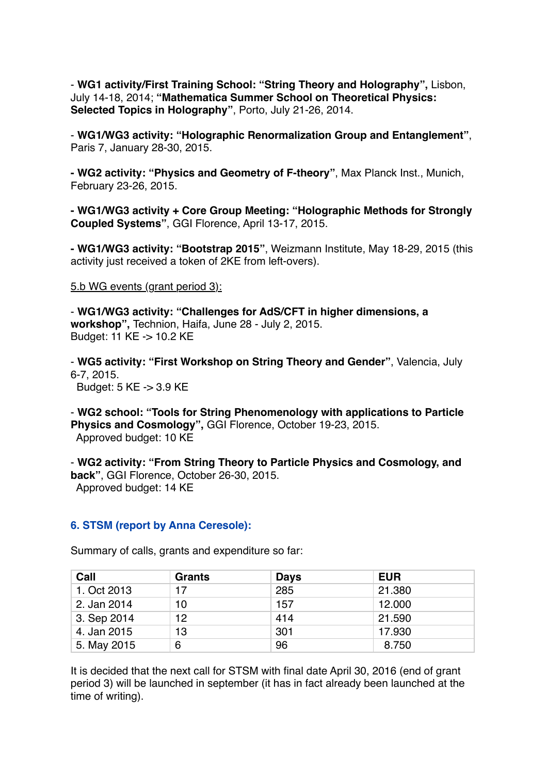- **WG1 activity/First Training School: "String Theory and Holography",** Lisbon, July 14-18, 2014; **"Mathematica Summer School on Theoretical Physics: Selected Topics in Holography"**, Porto, July 21-26, 2014.

- **WG1/WG3 activity: "Holographic Renormalization Group and Entanglement"**, Paris 7, January 28-30, 2015.

**- WG2 activity: "Physics and Geometry of F-theory"**, Max Planck Inst., Munich, February 23-26, 2015.

**- WG1/WG3 activity + Core Group Meeting: "Holographic Methods for Strongly Coupled Systems"**, GGI Florence, April 13-17, 2015.

**- WG1/WG3 activity: "Bootstrap 2015"**, Weizmann Institute, May 18-29, 2015 (this activity just received a token of 2KE from left-overs).

#### 5.b WG events (grant period 3):

- **WG1/WG3 activity: "Challenges for AdS/CFT in higher dimensions, a workshop",** Technion, Haifa, June 28 - July 2, 2015. Budget: 11 KE -> 10.2 KE

- **WG5 activity: "First Workshop on String Theory and Gender"**, Valencia, July 6-7, 2015.

Budget: 5 KE -> 3.9 KE

- **WG2 school: "Tools for String Phenomenology with applications to Particle Physics and Cosmology",** GGI Florence, October 19-23, 2015. Approved budget: 10 KE

- **WG2 activity: "From String Theory to Particle Physics and Cosmology, and back"**, GGI Florence, October 26-30, 2015. Approved budget: 14 KE

#### **6. STSM (report by Anna Ceresole):**

| Call        | <b>Grants</b> | <b>Days</b> | <b>EUR</b> |
|-------------|---------------|-------------|------------|
| 1. Oct 2013 | 17            | 285         | 21.380     |
| 2. Jan 2014 | 10            | 157         | 12.000     |
| 3. Sep 2014 | 12            | 414         | 21.590     |
| 4. Jan 2015 | 13            | 301         | 17.930     |
| 5. May 2015 | 6             | 96          | 8.750      |

Summary of calls, grants and expenditure so far:

It is decided that the next call for STSM with final date April 30, 2016 (end of grant period 3) will be launched in september (it has in fact already been launched at the time of writing).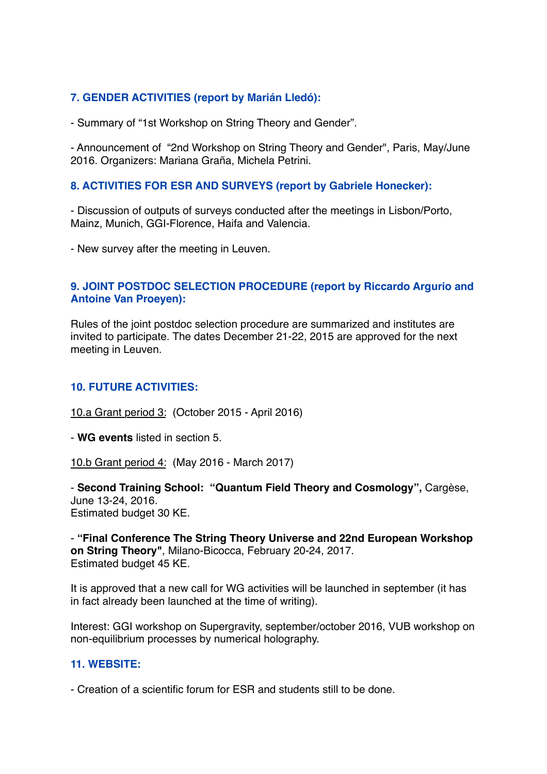## **7. GENDER ACTIVITIES (report by Marián Lledó):**

- Summary of "1st Workshop on String Theory and Gender".

- Announcement of "2nd Workshop on String Theory and Gender", Paris, May/June 2016. Organizers: Mariana Graña, Michela Petrini.

### **8. ACTIVITIES FOR ESR AND SURVEYS (report by Gabriele Honecker):**

- Discussion of outputs of surveys conducted after the meetings in Lisbon/Porto, Mainz, Munich, GGI-Florence, Haifa and Valencia.

- New survey after the meeting in Leuven.

### **9. JOINT POSTDOC SELECTION PROCEDURE (report by Riccardo Argurio and Antoine Van Proeyen):**

Rules of the joint postdoc selection procedure are summarized and institutes are invited to participate. The dates December 21-22, 2015 are approved for the next meeting in Leuven.

#### **10. FUTURE ACTIVITIES:**

10.a Grant period 3: (October 2015 - April 2016)

- **WG events** listed in section 5.

10.b Grant period 4: (May 2016 - March 2017)

- **Second Training School: "Quantum Field Theory and Cosmology",** Cargèse, June 13-24, 2016. Estimated budget 30 KE.

- **"Final Conference The String Theory Universe and 22nd European Workshop on String Theory"**, Milano-Bicocca, February 20-24, 2017. Estimated budget 45 KE.

It is approved that a new call for WG activities will be launched in september (it has in fact already been launched at the time of writing).

Interest: GGI workshop on Supergravity, september/october 2016, VUB workshop on non-equilibrium processes by numerical holography.

### **11. WEBSITE:**

- Creation of a scientific forum for ESR and students still to be done.